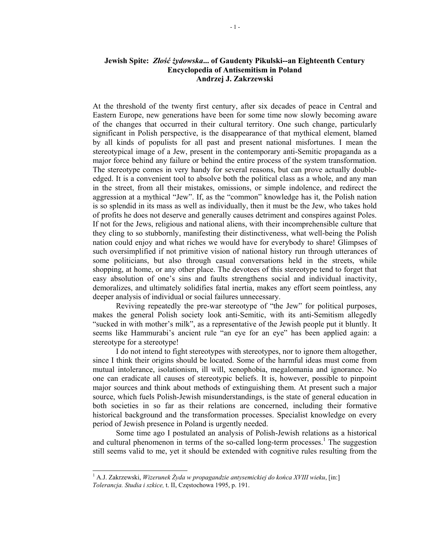## **Jewish Spite:** *Złość żydowska***... of Gaudenty Pikulski--an Eighteenth Century Encyclopedia of Antisemitism in Poland Andrzej J. Zakrzewski**

At the threshold of the twenty first century, after six decades of peace in Central and Eastern Europe, new generations have been for some time now slowly becoming aware of the changes that occurred in their cultural territory. One such change, particularly significant in Polish perspective, is the disappearance of that mythical element, blamed by all kinds of populists for all past and present national misfortunes. I mean the stereotypical image of a Jew, present in the contemporary anti-Semitic propaganda as a major force behind any failure or behind the entire process of the system transformation. The stereotype comes in very handy for several reasons, but can prove actually doubleedged. It is a convenient tool to absolve both the political class as a whole, and any man in the street, from all their mistakes, omissions, or simple indolence, and redirect the aggression at a mythical "Jew". If, as the "common" knowledge has it, the Polish nation is so splendid in its mass as well as individually, then it must be the Jew, who takes hold of profits he does not deserve and generally causes detriment and conspires against Poles. If not for the Jews, religious and national aliens, with their incomprehensible culture that they cling to so stubbornly, manifesting their distinctiveness, what well-being the Polish nation could enjoy and what riches we would have for everybody to share! Glimpses of such oversimplified if not primitive vision of national history run through utterances of some politicians, but also through casual conversations held in the streets, while shopping, at home, or any other place. The devotees of this stereotype tend to forget that easy absolution of one's sins and faults strengthens social and individual inactivity, demoralizes, and ultimately solidifies fatal inertia, makes any effort seem pointless, any deeper analysis of individual or social failures unnecessary.

Reviving repeatedly the pre-war stereotype of "the Jew" for political purposes, makes the general Polish society look anti-Semitic, with its anti-Semitism allegedly "sucked in with mother's milk", as a representative of the Jewish people put it bluntly. It seems like Hammurabi's ancient rule "an eye for an eye" has been applied again: a stereotype for a stereotype!

I do not intend to fight stereotypes with stereotypes, nor to ignore them altogether, since I think their origins should be located. Some of the harmful ideas must come from mutual intolerance, isolationism, ill will, xenophobia, megalomania and ignorance. No one can eradicate all causes of stereotypic beliefs. It is, however, possible to pinpoint major sources and think about methods of extinguishing them. At present such a major source, which fuels Polish-Jewish misunderstandings, is the state of general education in both societies in so far as their relations are concerned, including their formative historical background and the transformation processes. Specialist knowledge on every period of Jewish presence in Poland is urgently needed.

Some time ago I postulated an analysis of Polish-Jewish relations as a historical and cultural phenomenon in terms of the so-called long-term processes.<sup>1</sup> The suggestion still seems valid to me, yet it should be extended with cognitive rules resulting from the

 1 A.J. Zakrzewski, *Wizerunek Żyda w propagandzie antysemickiej do końca XVIII wieku*, [in:] *Tolerancja. Studia i szkice,* t. II, Częstochowa 1995, p. 191.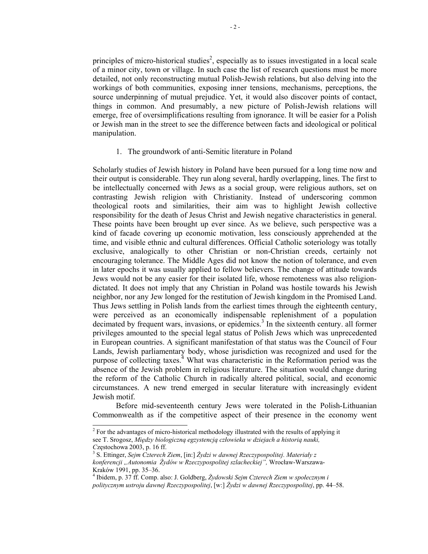principles of micro-historical studies<sup>2</sup>, especially as to issues investigated in a local scale of a minor city, town or village. In such case the list of research questions must be more detailed, not only reconstructing mutual Polish-Jewish relations, but also delving into the workings of both communities, exposing inner tensions, mechanisms, perceptions, the source underpinning of mutual prejudice. Yet, it would also discover points of contact, things in common. And presumably, a new picture of Polish-Jewish relations will emerge, free of oversimplifications resulting from ignorance. It will be easier for a Polish or Jewish man in the street to see the difference between facts and ideological or political manipulation.

1. The groundwork of anti-Semitic literature in Poland

Scholarly studies of Jewish history in Poland have been pursued for a long time now and their output is considerable. They run along several, hardly overlapping, lines. The first to be intellectually concerned with Jews as a social group, were religious authors, set on contrasting Jewish religion with Christianity. Instead of underscoring common theological roots and similarities, their aim was to highlight Jewish collective responsibility for the death of Jesus Christ and Jewish negative characteristics in general. These points have been brought up ever since. As we believe, such perspective was a kind of facade covering up economic motivation, less consciously apprehended at the time, and visible ethnic and cultural differences. Official Catholic soteriology was totally exclusive, analogically to other Christian or non-Christian creeds, certainly not encouraging tolerance. The Middle Ages did not know the notion of tolerance, and even in later epochs it was usually applied to fellow believers. The change of attitude towards Jews would not be any easier for their isolated life, whose remoteness was also religiondictated. It does not imply that any Christian in Poland was hostile towards his Jewish neighbor, nor any Jew longed for the restitution of Jewish kingdom in the Promised Land. Thus Jews settling in Polish lands from the earliest times through the eighteenth century, were perceived as an economically indispensable replenishment of a population decimated by frequent wars, invasions, or epidemics.<sup>3</sup> In the sixteenth century. all former privileges amounted to the special legal status of Polish Jews which was unprecedented in European countries. A significant manifestation of that status was the Council of Four Lands, Jewish parliamentary body, whose jurisdiction was recognized and used for the purpose of collecting taxes.<sup>4</sup> What was characteristic in the Reformation period was the absence of the Jewish problem in religious literature. The situation would change during the reform of the Catholic Church in radically altered political, social, and economic circumstances. A new trend emerged in secular literature with increasingly evident Jewish motif.

Before mid-seventeenth century Jews were tolerated in the Polish-Lithuanian Commonwealth as if the competitive aspect of their presence in the economy went

<sup>&</sup>lt;sup>2</sup> For the advantages of micro-historical methodology illustrated with the results of applying it see T. Srogosz, *Między biologiczną egzystencją człowieka w dziejach a historią nauki, <sup>C</sup>*zęstochowa 2003, p. 16 ff. <sup>3</sup>

S. Ettinger, *Sejm Czterech Ziem*, [in:] *Żydzi w dawnej Rzeczypospolitej. Materiały z konferencji "Autonomia Żydów w Rzeczypospolitej szlacheckiej",* Wrocław-Warszawa-Kraków 1991, pp. 35–36.

<sup>4</sup> Ibidem, p. 37 ff. Comp. also: J. Goldberg, *Żydowski Sejm Czterech Ziem w społecznym i politycznym ustroju dawnej Rzeczypospolitej*, [w:] *Żydzi w dawnej Rzeczypospolitej*, pp. 44–58.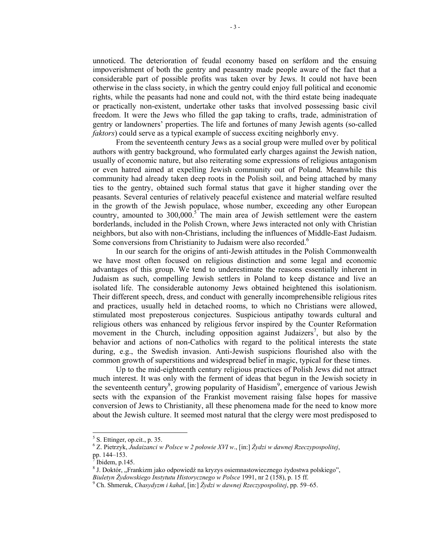unnoticed. The deterioration of feudal economy based on serfdom and the ensuing impoverishment of both the gentry and peasantry made people aware of the fact that a considerable part of possible profits was taken over by Jews. It could not have been otherwise in the class society, in which the gentry could enjoy full political and economic rights, while the peasants had none and could not, with the third estate being inadequate or practically non-existent, undertake other tasks that involved possessing basic civil freedom. It were the Jews who filled the gap taking to crafts, trade, administration of gentry or landowners' properties. The life and fortunes of many Jewish agents (so-called *faktors*) could serve as a typical example of success exciting neighborly envy.

From the seventeenth century Jews as a social group were mulled over by political authors with gentry background, who formulated early charges against the Jewish nation, usually of economic nature, but also reiterating some expressions of religious antagonism or even hatred aimed at expelling Jewish community out of Poland. Meanwhile this community had already taken deep roots in the Polish soil, and being attached by many ties to the gentry, obtained such formal status that gave it higher standing over the peasants. Several centuries of relatively peaceful existence and material welfare resulted in the growth of the Jewish populace, whose number, exceeding any other European country, amounted to  $300,000$ .<sup>5</sup> The main area of Jewish settlement were the eastern borderlands, included in the Polish Crown, where Jews interacted not only with Christian neighbors, but also with non-Christians, including the influences of Middle-East Judaism. Some conversions from Christianity to Judaism were also recorded.<sup>6</sup>

In our search for the origins of anti-Jewish attitudes in the Polish Commonwealth we have most often focused on religious distinction and some legal and economic advantages of this group. We tend to underestimate the reasons essentially inherent in Judaism as such, compelling Jewish settlers in Poland to keep distance and live an isolated life. The considerable autonomy Jews obtained heightened this isolationism. Their different speech, dress, and conduct with generally incomprehensible religious rites and practices, usually held in detached rooms, to which no Christians were allowed, stimulated most preposterous conjectures. Suspicious antipathy towards cultural and religious others was enhanced by religious fervor inspired by the Counter Reformation movement in the Church, including opposition against Judaizers<sup>7</sup>, but also by the behavior and actions of non-Catholics with regard to the political interests the state during, e.g., the Swedish invasion. Anti-Jewish suspicions flourished also with the common growth of superstitions and widespread belief in magic, typical for these times.

Up to the mid-eighteenth century religious practices of Polish Jews did not attract much interest. It was only with the ferment of ideas that begun in the Jewish society in the seventeenth century<sup>8</sup>, growing popularity of Hasidism<sup>9</sup>, emergence of various Jewish sects with the expansion of the Frankist movement raising false hopes for massive conversion of Jews to Christianity, all these phenomena made for the need to know more about the Jewish culture. It seemed most natural that the clergy were most predisposed to

 5 S. Ettinger, op.cit., p. 35.

<sup>6</sup> Z. Pietrzyk, *Judaizanci w Polsce w 2 połowie XVI w*., [in:] *Żydzi w dawnej Rzeczypospolitej*, pp. 144–153.<br><sup>7</sup> Ibidam n. 14

Ibidem, p.145.

<sup>&</sup>lt;sup>8</sup> J. Doktór, "Frankizm jako odpowiedź na kryzys osiemnastowiecznego żydostwa polskiego", *Biuletyn Żydowskiego Instytutu Historycznego w Polsce* 1991, nr 2 (158), p. 15 ff. 9

Ch. Shmeruk, *Chasydyzm i kahał*, [in:] *Żydzi w dawnej Rzeczypospolitej*, pp. 59–65.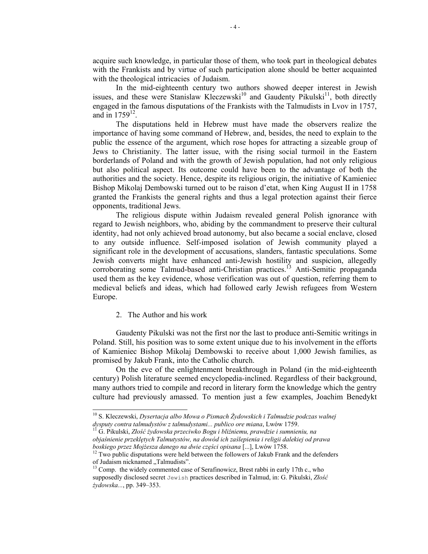acquire such knowledge, in particular those of them, who took part in theological debates with the Frankists and by virtue of such participation alone should be better acquainted with the theological intricacies of Judaism.

In the mid-eighteenth century two authors showed deeper interest in Jewish issues, and these were Stanislaw Kleczewski<sup>10</sup> and Gaudenty Pikulski<sup>11</sup>, both directly engaged in the famous disputations of the Frankists with the Talmudists in Lvov in 1757, and in  $1759^{12}$ .

The disputations held in Hebrew must have made the observers realize the importance of having some command of Hebrew, and, besides, the need to explain to the public the essence of the argument, which rose hopes for attracting a sizeable group of Jews to Christianity. The latter issue, with the rising social turmoil in the Eastern borderlands of Poland and with the growth of Jewish population, had not only religious but also political aspect. Its outcome could have been to the advantage of both the authorities and the society. Hence, despite its religious origin, the initiative of Kamieniec Bishop Mikolaj Dembowski turned out to be raison d'etat, when King August II in 1758 granted the Frankists the general rights and thus a legal protection against their fierce opponents, traditional Jews.

The religious dispute within Judaism revealed general Polish ignorance with regard to Jewish neighbors, who, abiding by the commandment to preserve their cultural identity, had not only achieved broad autonomy, but also became a social enclave, closed to any outside influence. Self-imposed isolation of Jewish community played a significant role in the development of accusations, slanders, fantastic speculations. Some Jewish converts might have enhanced anti-Jewish hostility and suspicion, allegedly corroborating some Talmud-based anti-Christian practices.<sup>13</sup> Anti-Semitic propaganda used them as the key evidence, whose verification was out of question, referring them to medieval beliefs and ideas, which had followed early Jewish refugees from Western Europe.

## 2. The Author and his work

 $\overline{a}$ 

Gaudenty Pikulski was not the first nor the last to produce anti-Semitic writings in Poland. Still, his position was to some extent unique due to his involvement in the efforts of Kamieniec Bishop Mikolaj Dembowski to receive about 1,000 Jewish families, as promised by Jakub Frank, into the Catholic church.

On the eve of the enlightenment breakthrough in Poland (in the mid-eighteenth century) Polish literature seemed encyclopedia-inclined. Regardless of their background, many authors tried to compile and record in literary form the knowledge which the gentry culture had previously amassed. To mention just a few examples, Joachim Benedykt

*objaśnienie przeklętych Talmutystów, na dowód ich zaślepienia i religii dalekiej od prawa* 

<sup>10</sup> S. Kleczewski, *Dysertacja albo Mowa o Pismach Żydowskich i Talmudzie podczas walnej dysputy contra talmudystów z talmudystami... publico ore miana*, Lwów 1759. 11 G. Pikulski, *Złość <sup>ż</sup>ydowska przeciwko Bogu i bliźniemu, prawdzie i sumnieniu, na* 

*boskiego przez Mojżesza danego na dwie części opisana* [...], Lwów 1758.<br><sup>12</sup> Two public disputations were held between the followers of Jakub Frank and the defenders of Judaism nicknamed "Talmudists".

<sup>&</sup>lt;sup>13</sup> Comp. the widely commented case of Serafinowicz, Brest rabbi in early 17th c., who supposedly disclosed secret Jewish practices described in Talmud, in: G. Pikulski, *Złość żydowska...*, pp. 349–353.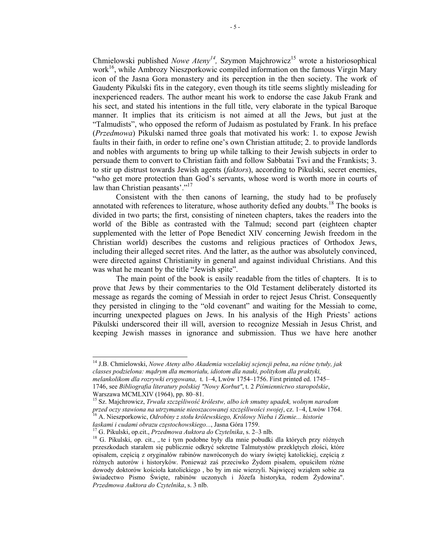Chmielowski published *Nowe Ateny<sup>14</sup>*, Szymon Majchrowicz<sup>15</sup> wrote a historiosophical work<sup>16</sup>, while Ambrozy Nieszporkowic compiled information on the famous Virgin Mary icon of the Jasna Gora monastery and its perception in the then society. The work of Gaudenty Pikulski fits in the category, even though its title seems slightly misleading for inexperienced readers. The author meant his work to endorse the case Jakub Frank and his sect, and stated his intentions in the full title, very elaborate in the typical Baroque manner. It implies that its criticism is not aimed at all the Jews, but just at the "Talmudists", who opposed the reform of Judaism as postulated by Frank. In his preface (*Przedmowa*) Pikulski named three goals that motivated his work: 1. to expose Jewish faults in their faith, in order to refine one's own Christian attitude; 2. to provide landlords and nobles with arguments to bring up while talking to their Jewish subjects in order to persuade them to convert to Christian faith and follow Sabbatai Tsvi and the Frankists; 3. to stir up distrust towards Jewish agents (*faktors*), according to Pikulski, secret enemies, "who get more protection than God's servants, whose word is worth more in courts of law than Christian peasants'."<sup>17</sup>

Consistent with the then canons of learning, the study had to be profusely annotated with references to literature, whose authority defied any doubts.<sup>18</sup> The books is divided in two parts; the first, consisting of nineteen chapters, takes the readers into the world of the Bible as contrasted with the Talmud; second part (eighteen chapter supplemented with the letter of Pope Benedict XIV concerning Jewish freedom in the Christian world) describes the customs and religious practices of Orthodox Jews, including their alleged secret rites. And the latter, as the author was absolutely convinced, were directed against Christianity in general and against individual Christians. And this was what he meant by the title "Jewish spite".

The main point of the book is easily readable from the titles of chapters. It is to prove that Jews by their commentaries to the Old Testament deliberately distorted its message as regards the coming of Messiah in order to reject Jesus Christ. Consequently they persisted in clinging to the "old covenant" and waiting for the Messiah to come, incurring unexpected plagues on Jews. In his analysis of the High Priests' actions Pikulski underscored their ill will, aversion to recognize Messiah in Jesus Christ, and keeping Jewish masses in ignorance and submission. Thus we have here another

14 J.B. Chmielowski, *Nowe Ateny albo Akademia wszelakiej scjencji pełna*, *na różne tytuły, jak classes podzielona: mądrym dla memoriału, idiotom dla nauki, politykom dla praktyki,* 

*melankolikom dla rozrywki erygowana,* t. 1–4, Lwów 1754–1756. First printed ed. 1745– 1746, see *Bibliografia literatury polskiej "Nowy Korbut"*, t. 2 *Piśmiennictwo staropolskie*, Warszawa MCMLXIV (1964), pp. 80–81.

15 Sz. Majchrowicz, *Trwała szczęśliwość królestw, albo ich smutny upadek, wolnym narodom*  przed oczy stawiona na utrzymanie nieoszacowanej szczęśliwości swojej, cz. 1–4, Lwów 1764.<br><sup>16</sup> A. Nieszporkowic, *Odrobiny z stołu królewskiego, Królowy Nieba i Ziemie... historie laskami i cudami obrazu czestochowskiego.* 

<sup>&</sup>lt;sup>17</sup> G. Pikulski, op.cit., *Przedmowa Auktora do Czytelnika*, s. 2–3 nlb.<br><sup>18</sup> G. Pikulski, op. cit., "te i tym podobne były dla mnie pobudki dla których przy różnych przeszkodach starałem się publicznie odkryć sekretne Talmutystów przeklętych złości, które opisałem, częścią z oryginałów rabinów nawróconych do wiary świętej katolickiej, częścią z różnych autorów i historyków. Ponieważ zaś przeciwko Żydom pisałem, opuściłem różne dowody doktorów kościoła katolickiego , bo by im nie wierzyli. Najwięcej wziąłem sobie za świadectwo Pismo Święte, rabinów uczonych i Józefa historyka, rodem Żydowina". *Przedmowa Auktora do Czytelnika*, s. 3 nlb.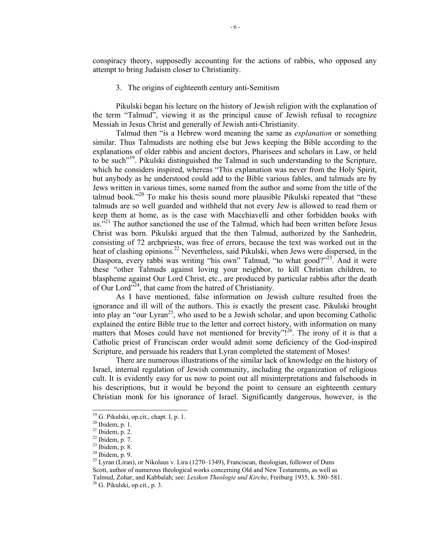conspiracy theory, supposedly accounting for the actions of rabbis, who opposed any attempt to bring Judaism closer to Christianity.

3. The origins of eighteenth century anti-Semitism

Pikulski began his lecture on the history of Jewish religion with the explanation of the term "Talmud", viewing it as the principal cause of Jewish refusal to recognize Messiah in Jesus Christ and generally of Jewish anti-Christianity.

Talmud then "is a Hebrew word meaning the same as *explanation* or something similar. Thus Talmudists are nothing else but Jews keeping the Bible according to the explanations of older rabbis and ancient doctors, Pharisees and scholars in Law, or held to be such<sup>"19</sup>. Pikulski distinguished the Talmud in such understanding to the Scripture, which he considers inspired, whereas "This explanation was never from the Holy Spirit, but anybody as he understood could add to the Bible various fables, and talmuds are by Jews written in various times, some named from the author and some from the title of the talmud book."<sup>20</sup> To make his thesis sound more plausible Pikulski repeated that "these talmuds are so well guarded and withheld that not every Jew is allowed to read them or keep them at home, as is the case with Macchiavelli and other forbidden books with us. $12^{21}$  The author sanctioned the use of the Talmud, which had been written before Jesus Christ was born. Pikulski argued that the then Talmud, authorized by the Sanhedrin, consisting of 72 archpriests, was free of errors, because the text was worked out in the heat of clashing opinions.<sup>22</sup> Nevertheless, said Pikulski, when Jews were dispersed, in the Diaspora, every rabbi was writing "his own" Talmud, "to what good?"<sup>23</sup>. And it were these "other Talmuds against loving your neighbor, to kill Christian children, to blaspheme against Our Lord Christ, etc., are produced by particular rabbis after the death of Our Lord<sup> $324$ </sup>, that came from the hatred of Christianity.

As I have mentioned, false information on Jewish culture resulted from the ignorance and ill will of the authors. This is exactly the present case. Pikulski brought into play an "our Lyran<sup>25</sup>, who used to be a Jewish scholar, and upon becoming Catholic explained the entire Bible true to the letter and correct history, with information on many matters that Moses could have not mentioned for brevity".<sup>26</sup>. The irony of it is that a Catholic priest of Franciscan order would admit some deficiency of the God-inspired Scripture, and persuade his readers that Lyran completed the statement of Moses!

There are numerous illustrations of the similar lack of knowledge on the history of Israel, internal regulation of Jewish community, including the organization of religious cult. It is evidently easy for us now to point out all misinterpretations and falsehoods in his descriptions, but it would be beyond the point to censure an eighteenth century Christian monk for his ignorance of Israel. Significantly dangerous, however, is the

<sup>&</sup>lt;sup>19</sup> G. Pikulski, op.cit., chapt. I, p. 1.

 $^{20}$  Ibidem, p. 1.

 $21$  Ibidem, p. 2.

 $22$  Ibidem, p. 7.

 $23$  Ibidem, p. 8.

 $24$  Ibidem, p. 9.

<sup>&</sup>lt;sup>25</sup> Lyran (Liran), or Nikolaus v. Lira (1270–1349), Franciscan, theologian, follower of Duns Scott, author of numerous theological works concerning Old and New Testaments, as well as Talmud, Zohar, and Kabbalah; see: *Lexikon Theologie und Kirche*, Freiburg 1935, k. 580–581. 26 G. Pikulski, op.cit., p. 3.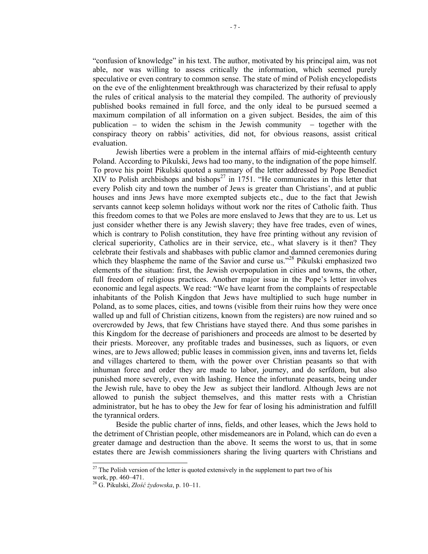"confusion of knowledge" in his text. The author, motivated by his principal aim, was not able, nor was willing to assess critically the information, which seemed purely speculative or even contrary to common sense. The state of mind of Polish encyclopedists on the eve of the enlightenment breakthrough was characterized by their refusal to apply the rules of critical analysis to the material they compiled. The authority of previously published books remained in full force, and the only ideal to be pursued seemed a maximum compilation of all information on a given subject. Besides, the aim of this publication  $-$  to widen the schism in the Jewish community  $-$  together with the conspiracy theory on rabbis' activities, did not, for obvious reasons, assist critical evaluation.

Jewish liberties were a problem in the internal affairs of mid-eighteenth century Poland. According to Pikulski, Jews had too many, to the indignation of the pope himself. To prove his point Pikulski quoted a summary of the letter addressed by Pope Benedict  $XIV$  to Polish archbishops and bishops<sup>27</sup> in 1751. "He communicates in this letter that every Polish city and town the number of Jews is greater than Christians', and at public houses and inns Jews have more exempted subjects etc., due to the fact that Jewish servants cannot keep solemn holidays without work nor the rites of Catholic faith. Thus this freedom comes to that we Poles are more enslaved to Jews that they are to us. Let us just consider whether there is any Jewish slavery; they have free trades, even of wines, which is contrary to Polish constitution, they have free printing without any revision of clerical superiority, Catholics are in their service, etc., what slavery is it then? They celebrate their festivals and shabbases with public clamor and damned ceremonies during which they blaspheme the name of the Savior and curse us."<sup>28</sup> Pikulski emphasized two elements of the situation: first, the Jewish overpopulation in cities and towns, the other, full freedom of religious practices. Another major issue in the Pope's letter involves economic and legal aspects. We read: "We have learnt from the complaints of respectable inhabitants of the Polish Kingdon that Jews have multiplied to such huge number in Poland, as to some places, cities, and towns (visible from their ruins how they were once walled up and full of Christian citizens, known from the registers) are now ruined and so overcrowded by Jews, that few Christians have stayed there. And thus some parishes in this Kingdom for the decrease of parishioners and proceeds are almost to be deserted by their priests. Moreover, any profitable trades and businesses, such as liquors, or even wines, are to Jews allowed; public leases in commission given, inns and taverns let, fields and villages chartered to them, with the power over Christian peasants so that with inhuman force and order they are made to labor, journey, and do serfdom, but also punished more severely, even with lashing. Hence the infortunate peasants, being under the Jewish rule, have to obey the Jew as subject their landlord. Although Jews are not allowed to punish the subject themselves, and this matter rests with a Christian administrator, but he has to obey the Jew for fear of losing his administration and fulfill the tyrannical orders.

Beside the public charter of inns, fields, and other leases, which the Jews hold to the detriment of Christian people, other misdemeanors are in Poland, which can do even a greater damage and destruction than the above. It seems the worst to us, that in some estates there are Jewish commissioners sharing the living quarters with Christians and

 $27$  The Polish version of the letter is quoted extensively in the supplement to part two of his work, pp. 460–471.

<sup>28</sup> G. Pikulski, *Złość żydowska*, p. 10–11.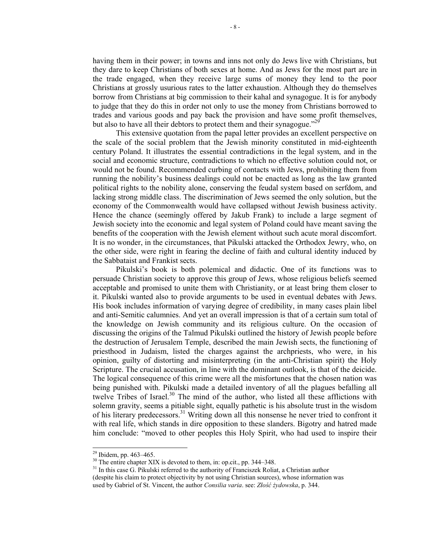having them in their power; in towns and inns not only do Jews live with Christians, but they dare to keep Christians of both sexes at home. And as Jews for the most part are in the trade engaged, when they receive large sums of money they lend to the poor Christians at grossly usurious rates to the latter exhaustion. Although they do themselves borrow from Christians at big commission to their kahal and synagogue. It is for anybody to judge that they do this in order not only to use the money from Christians borrowed to trades and various goods and pay back the provision and have some profit themselves, but also to have all their debtors to protect them and their synagogue.<sup> $29$ </sup>

This extensive quotation from the papal letter provides an excellent perspective on the scale of the social problem that the Jewish minority constituted in mid-eighteenth century Poland. It illustrates the essential contradictions in the legal system, and in the social and economic structure, contradictions to which no effective solution could not, or would not be found. Recommended curbing of contacts with Jews, prohibiting them from running the nobility's business dealings could not be enacted as long as the law granted political rights to the nobility alone, conserving the feudal system based on serfdom, and lacking strong middle class. The discrimination of Jews seemed the only solution, but the economy of the Commonwealth would have collapsed without Jewish business activity. Hence the chance (seemingly offered by Jakub Frank) to include a large segment of Jewish society into the economic and legal system of Poland could have meant saving the benefits of the cooperation with the Jewish element without such acute moral discomfort. It is no wonder, in the circumstances, that Pikulski attacked the Orthodox Jewry, who, on the other side, were right in fearing the decline of faith and cultural identity induced by the Sabbataist and Frankist sects.

Pikulski's book is both polemical and didactic. One of its functions was to persuade Christian society to approve this group of Jews, whose religious beliefs seemed acceptable and promised to unite them with Christianity, or at least bring them closer to it. Pikulski wanted also to provide arguments to be used in eventual debates with Jews. His book includes information of varying degree of credibility, in many cases plain libel and anti-Semitic calumnies. And yet an overall impression is that of a certain sum total of the knowledge on Jewish community and its religious culture. On the occasion of discussing the origins of the Talmud Pikulski outlined the history of Jewish people before the destruction of Jerusalem Temple, described the main Jewish sects, the functioning of priesthood in Judaism, listed the charges against the archpriests, who were, in his opinion, guilty of distorting and misinterpreting (in the anti-Christian spirit) the Holy Scripture. The crucial accusation, in line with the dominant outlook, is that of the deicide. The logical consequence of this crime were all the misfortunes that the chosen nation was being punished with. Pikulski made a detailed inventory of all the plagues befalling all twelve Tribes of Israel.<sup>30</sup> The mind of the author, who listed all these afflictions with solemn gravity, seems a pitiable sight, equally pathetic is his absolute trust in the wisdom of his literary predecessors.<sup>31</sup> Writing down all this nonsense he never tried to confront it with real life, which stands in dire opposition to these slanders. Bigotry and hatred made him conclude: "moved to other peoples this Holy Spirit, who had used to inspire their

1

 $29$  Ibidem, pp. 463–465.

 $30$  The entire chapter XIX is devoted to them, in: op.cit., pp. 344–348.

<sup>&</sup>lt;sup>31</sup> In this case G. Pikulski referred to the authority of Franciszek Roliat, a Christian author (despite his claim to protect objectivity by not using Christian sources), whose information was used by Gabriel of St. Vincent, the author *Consilia varia*. see: *Złość żydowska*, p. 344.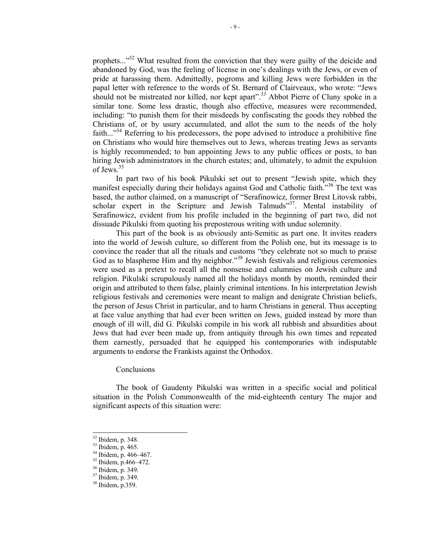prophets..."<sup>32</sup> What resulted from the conviction that they were guilty of the deicide and abandoned by God, was the feeling of license in one's dealings with the Jews, or even of pride at harassing them. Admittedly, pogroms and killing Jews were forbidden in the papal letter with reference to the words of St. Bernard of Clairveaux, who wrote: "Jews should not be mistreated nor killed, nor kept apart<sup>", 33</sup> Abbot Pierre of Cluny spoke in a similar tone. Some less drastic, though also effective, measures were recommended, including: "to punish them for their misdeeds by confiscating the goods they robbed the Christians of, or by usury accumulated, and allot the sum to the needs of the holy faith..."<sup>34</sup> Referring to his predecessors, the pope advised to introduce a prohibitive fine on Christians who would hire themselves out to Jews, whereas treating Jews as servants is highly recommended; to ban appointing Jews to any public offices or posts, to ban hiring Jewish administrators in the church estates; and, ultimately, to admit the expulsion of Jews.35

In part two of his book Pikulski set out to present "Jewish spite, which they manifest especially during their holidays against God and Catholic faith.<sup>356</sup> The text was based, the author claimed, on a manuscript of "Serafinowicz, former Brest Litovsk rabbi, scholar expert in the Scripture and Jewish Talmuds $^{337}$ . Mental instability of Serafinowicz, evident from his profile included in the beginning of part two, did not dissuade Pikulski from quoting his preposterous writing with undue solemnity.

This part of the book is as obviously anti-Semitic as part one. It invites readers into the world of Jewish culture, so different from the Polish one, but its message is to convince the reader that all the rituals and customs "they celebrate not so much to praise God as to blaspheme Him and thy neighbor.<sup>338</sup> Jewish festivals and religious ceremonies were used as a pretext to recall all the nonsense and calumnies on Jewish culture and religion. Pikulski scrupulously named all the holidays month by month, reminded their origin and attributed to them false, plainly criminal intentions. In his interpretation Jewish religious festivals and ceremonies were meant to malign and denigrate Christian beliefs, the person of Jesus Christ in particular, and to harm Christians in general. Thus accepting at face value anything that had ever been written on Jews, guided instead by more than enough of ill will, did G. Pikulski compile in his work all rubbish and absurdities about Jews that had ever been made up, from antiquity through his own times and repeated them earnestly, persuaded that he equipped his contemporaries with indisputable arguments to endorse the Frankists against the Orthodox.

## Conclusions

The book of Gaudenty Pikulski was written in a specific social and political situation in the Polish Commonwealth of the mid-eighteenth century The major and significant aspects of this situation were:

<sup>32</sup> Ibidem, p. 348.

 $33$  Ibidem, p. 465.

<sup>34</sup> Ibidem, p. 466–467.

<sup>35</sup> Ibidem, p.466–472.

<sup>36</sup> Ibidem, p. 349.

<sup>37</sup> Ibidem, p. 349.

<sup>38</sup> Ibidem, p.359.